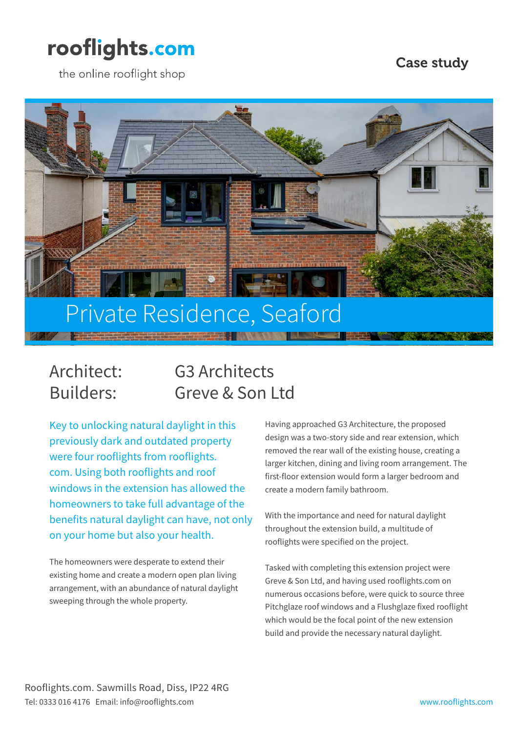## rooflights.com

the online rooflight shop

### Case study



### Architect: G3 Architects Builders: Greve & Son Ltd

Key to unlocking natural daylight in this previously dark and outdated property were four rooflights from rooflights. com. Using both rooflights and roof windows in the extension has allowed the homeowners to take full advantage of the benefits natural daylight can have, not only on your home but also your health.

The homeowners were desperate to extend their existing home and create a modern open plan living arrangement, with an abundance of natural daylight sweeping through the whole property.

Having approached G3 Architecture, the proposed design was a two-story side and rear extension, which removed the rear wall of the existing house, creating a larger kitchen, dining and living room arrangement. The first-floor extension would form a larger bedroom and create a modern family bathroom.

With the importance and need for natural daylight throughout the extension build, a multitude of rooflights were specified on the project.

Tasked with completing this extension project were Greve & Son Ltd, and having used rooflights.com on numerous occasions before, were quick to source three Pitchglaze roof windows and a Flushglaze fixed rooflight which would be the focal point of the new extension build and provide the necessary natural daylight.